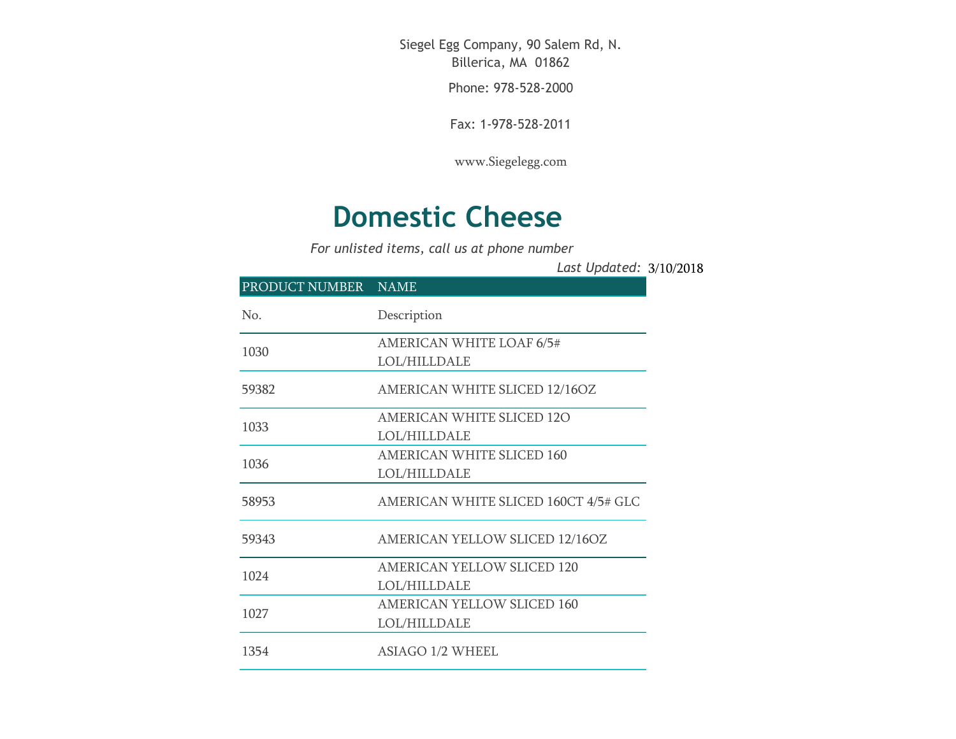Siegel Egg Company, 90 Salem Rd, N. Billerica, MA 01862

Phone: 978-528-2000

Fax: 1-978-528-2011

[www.Siegelegg.com](http://www.siegelegg.com/)

## **Domestic Cheese**

*For unlisted items, call us at phone number*

3/10/2018 *Last Updated:*

| PRODUCT NUMBER NAME |                                                          |
|---------------------|----------------------------------------------------------|
| No.                 | Description                                              |
| 1030                | <b>AMERICAN WHITE LOAF 6/5#</b><br><b>LOL/HILLDALE</b>   |
| 59382               | <b>AMERICAN WHITE SLICED 12/16OZ</b>                     |
| 1033                | <b>AMERICAN WHITE SLICED 120</b><br><b>LOL/HILLDALE</b>  |
| 1036                | <b>AMERICAN WHITE SLICED 160</b><br>LOL/HILLDALE         |
| 58953               | AMERICAN WHITE SLICED 160CT 4/5# GLC                     |
| 59343               | AMERICAN YELLOW SLICED 12/16OZ                           |
| 1024                | <b>AMERICAN YELLOW SLICED 120</b><br><b>LOL/HILLDALE</b> |
| 1027                | <b>AMERICAN YELLOW SLICED 160</b><br><b>LOL/HILLDALE</b> |
| 1354                | ASIAGO 1/2 WHEEL                                         |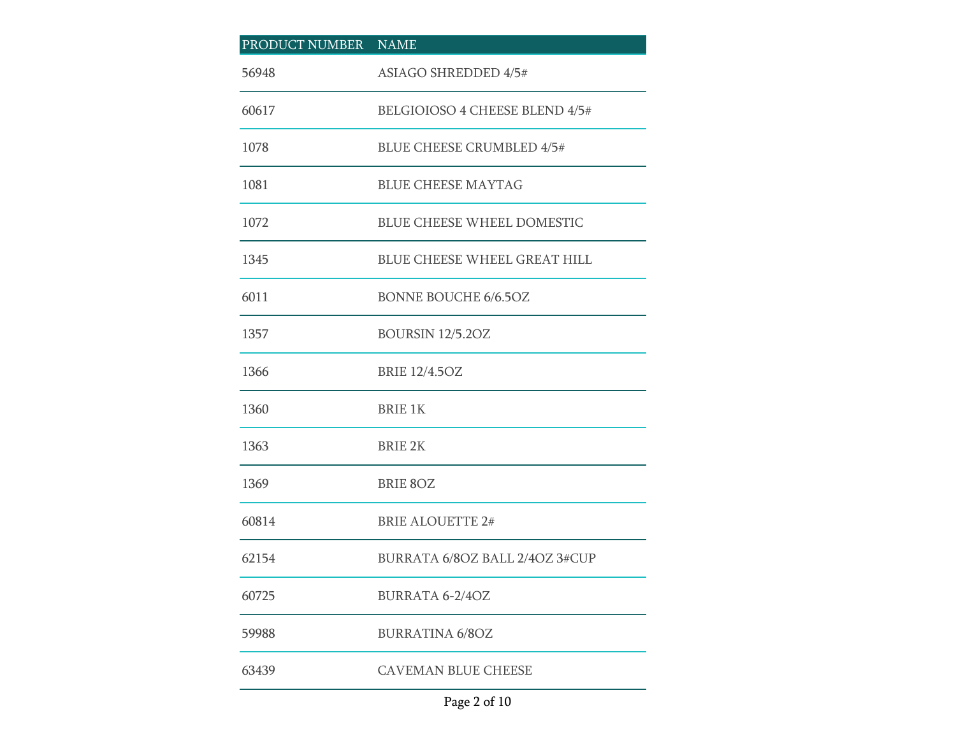| PRODUCT NUMBER NAME |                                     |
|---------------------|-------------------------------------|
| 56948               | <b>ASIAGO SHREDDED 4/5#</b>         |
| 60617               | BELGIOIOSO 4 CHEESE BLEND 4/5#      |
| 1078                | <b>BLUE CHEESE CRUMBLED 4/5#</b>    |
| 1081                | <b>BLUE CHEESE MAYTAG</b>           |
| 1072                | <b>BLUE CHEESE WHEEL DOMESTIC</b>   |
| 1345                | <b>BLUE CHEESE WHEEL GREAT HILL</b> |
| 6011                | <b>BONNE BOUCHE 6/6.5OZ</b>         |
| 1357                | <b>BOURSIN 12/5.20Z</b>             |
| 1366                | <b>BRIE 12/4.50Z</b>                |
| 1360                | <b>BRIE 1K</b>                      |
| 1363                | <b>BRIE 2K</b>                      |
| 1369                | <b>BRIE 8OZ</b>                     |
| 60814               | <b>BRIE ALOUETTE 2#</b>             |
| 62154               | BURRATA 6/8OZ BALL 2/4OZ 3#CUP      |
| 60725               | <b>BURRATA 6-2/4OZ</b>              |
| 59988               | <b>BURRATINA 6/8OZ</b>              |
| 63439               | <b>CAVEMAN BLUE CHEESE</b>          |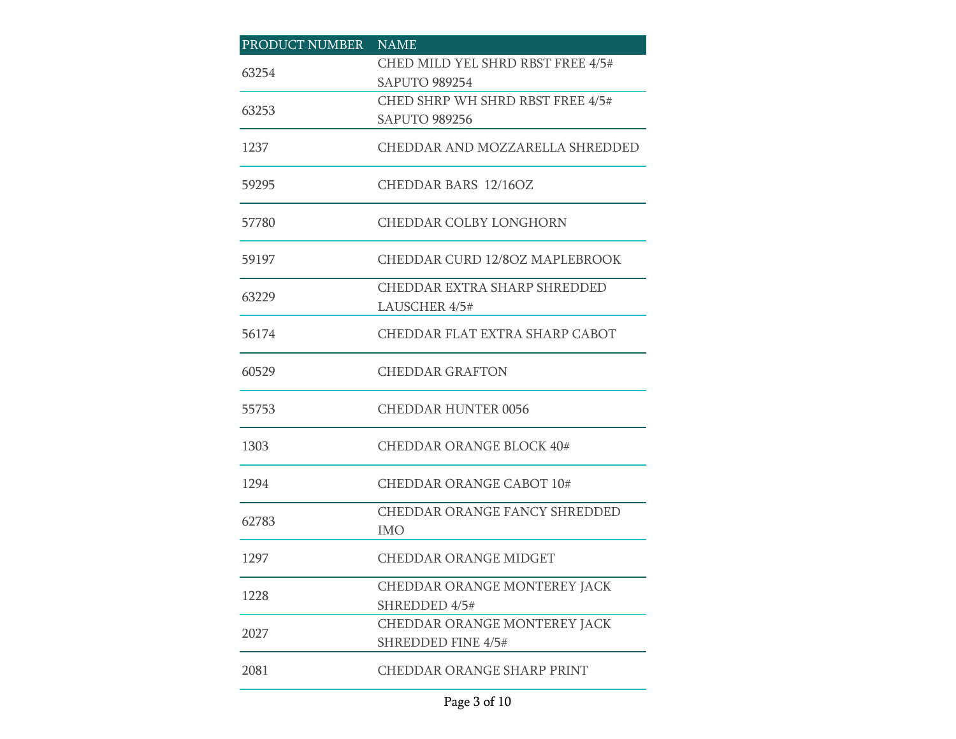| PRODUCT NUMBER | <b>NAME</b>                                 |
|----------------|---------------------------------------------|
| 63254          | CHED MILD YEL SHRD RBST FREE 4/5#           |
|                | <b>SAPUTO 989254</b>                        |
| 63253          | CHED SHRP WH SHRD RBST FREE 4/5#            |
|                | <b>SAPUTO 989256</b>                        |
| 1237           | CHEDDAR AND MOZZARELLA SHREDDED             |
| 59295          | <b>CHEDDAR BARS 12/16OZ</b>                 |
| 57780          | CHEDDAR COLBY LONGHORN                      |
| 59197          | <b>CHEDDAR CURD 12/80Z MAPLEBROOK</b>       |
|                | CHEDDAR EXTRA SHARP SHREDDED                |
| 63229          | LAUSCHER 4/5#                               |
| 56174          | CHEDDAR FLAT EXTRA SHARP CABOT              |
| 60529          | <b>CHEDDAR GRAFTON</b>                      |
| 55753          | CHEDDAR HUNTER 0056                         |
| 1303           | <b>CHEDDAR ORANGE BLOCK 40#</b>             |
| 1294           | <b>CHEDDAR ORANGE CABOT 10#</b>             |
| 62783          | CHEDDAR ORANGE FANCY SHREDDED<br><b>IMO</b> |
|                |                                             |
| 1297           | <b>CHEDDAR ORANGE MIDGET</b>                |
| 1228           | CHEDDAR ORANGE MONTEREY JACK                |
|                | SHREDDED 4/5#                               |
| 2027           | <b>CHEDDAR ORANGE MONTEREY JACK</b>         |
|                | <b>SHREDDED FINE 4/5#</b>                   |
| 2081           | <b>CHEDDAR ORANGE SHARP PRINT</b>           |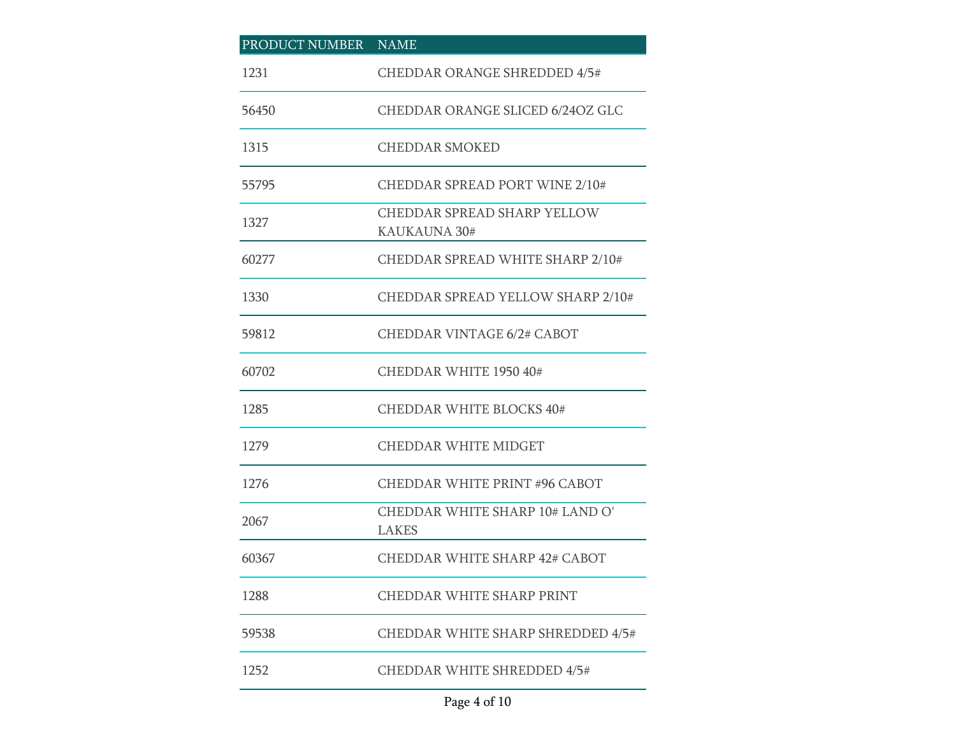| PRODUCT NUMBER | <b>NAME</b>                                     |
|----------------|-------------------------------------------------|
| 1231           | <b>CHEDDAR ORANGE SHREDDED 4/5#</b>             |
| 56450          | <b>CHEDDAR ORANGE SLICED 6/24OZ GLC</b>         |
| 1315           | <b>CHEDDAR SMOKED</b>                           |
| 55795          | <b>CHEDDAR SPREAD PORT WINE 2/10#</b>           |
| 1327           | CHEDDAR SPREAD SHARP YELLOW<br>KAUKAUNA 30#     |
| 60277          | CHEDDAR SPREAD WHITE SHARP 2/10#                |
| 1330           | CHEDDAR SPREAD YELLOW SHARP 2/10#               |
| 59812          | <b>CHEDDAR VINTAGE 6/2# CABOT</b>               |
| 60702          | CHEDDAR WHITE 1950 40#                          |
| 1285           | <b>CHEDDAR WHITE BLOCKS 40#</b>                 |
| 1279           | <b>CHEDDAR WHITE MIDGET</b>                     |
| 1276           | <b>CHEDDAR WHITE PRINT #96 CABOT</b>            |
| 2067           | CHEDDAR WHITE SHARP 10# LAND O'<br><b>LAKES</b> |
| 60367          | CHEDDAR WHITE SHARP 42# CABOT                   |
| 1288           | <b>CHEDDAR WHITE SHARP PRINT</b>                |
| 59538          | CHEDDAR WHITE SHARP SHREDDED 4/5#               |
| 1252           | <b>CHEDDAR WHITE SHREDDED 4/5#</b>              |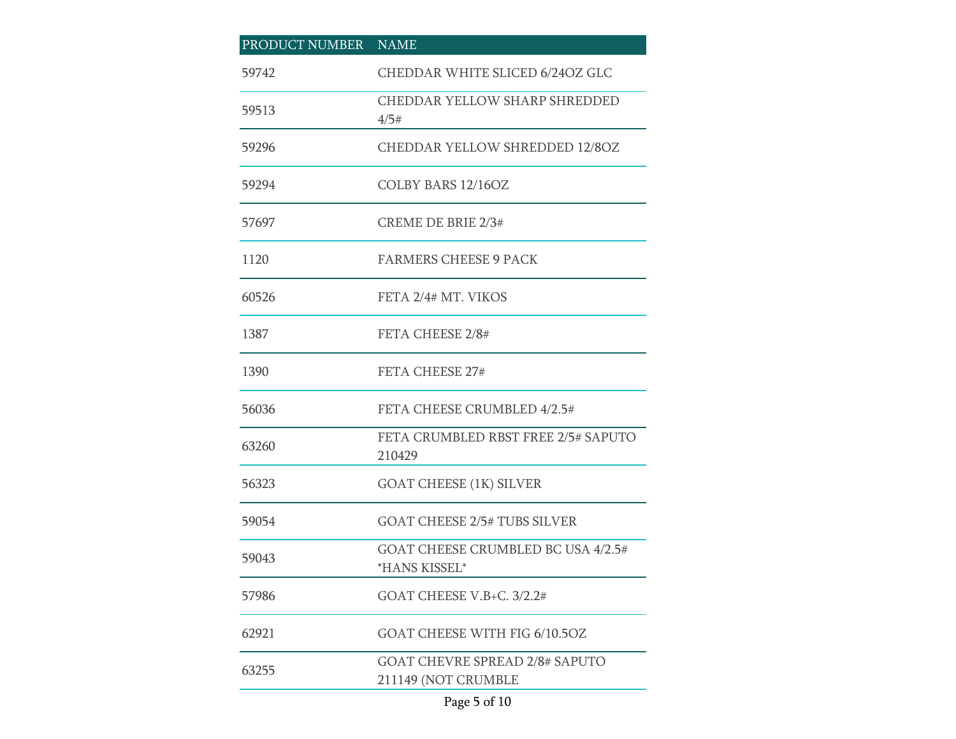| PRODUCT NUMBER | <b>NAME</b>                                                  |
|----------------|--------------------------------------------------------------|
| 59742          | CHEDDAR WHITE SLICED 6/24OZ GLC                              |
| 59513          | <b>CHEDDAR YELLOW SHARP SHREDDED</b><br>4/5#                 |
| 59296          | <b>CHEDDAR YELLOW SHREDDED 12/8OZ</b>                        |
| 59294          | COLBY BARS 12/16OZ                                           |
| 57697          | <b>CREME DE BRIE 2/3#</b>                                    |
| 1120           | <b>FARMERS CHEESE 9 PACK</b>                                 |
| 60526          | FETA 2/4# MT. VIKOS                                          |
| 1387           | FETA CHEESE 2/8#                                             |
| 1390           | FETA CHEESE 27#                                              |
| 56036          | FETA CHEESE CRUMBLED 4/2.5#                                  |
| 63260          | FETA CRUMBLED RBST FREE 2/5# SAPUTO<br>210429                |
| 56323          | <b>GOAT CHEESE (1K) SILVER</b>                               |
| 59054          | <b>GOAT CHEESE 2/5# TUBS SILVER</b>                          |
| 59043          | GOAT CHEESE CRUMBLED BC USA 4/2.5#<br>*HANS KISSEL*          |
| 57986          | GOAT CHEESE V.B+C. 3/2.2#                                    |
| 62921          | GOAT CHEESE WITH FIG 6/10.5OZ                                |
| 63255          | <b>GOAT CHEVRE SPREAD 2/8# SAPUTO</b><br>211149 (NOT CRUMBLE |

## Page 5 of 10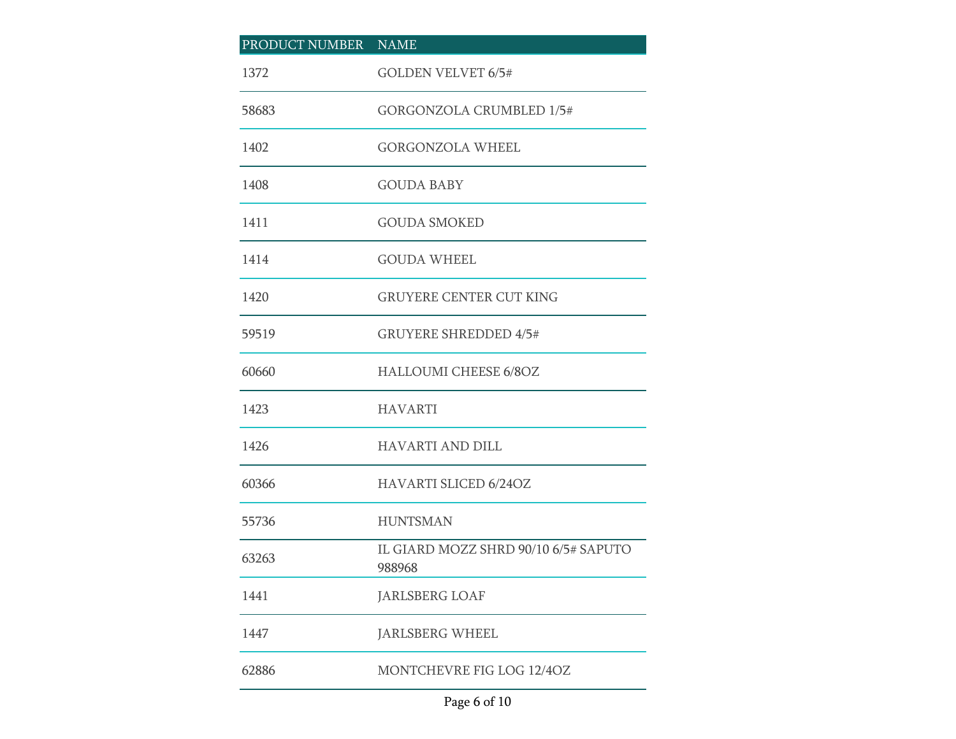| PRODUCT NUMBER NAME |                                                |
|---------------------|------------------------------------------------|
| 1372                | <b>GOLDEN VELVET 6/5#</b>                      |
| 58683               | <b>GORGONZOLA CRUMBLED 1/5#</b>                |
| 1402                | <b>GORGONZOLA WHEEL</b>                        |
| 1408                | <b>GOUDA BABY</b>                              |
| 1411                | <b>GOUDA SMOKED</b>                            |
| 1414                | <b>GOUDA WHEEL</b>                             |
| 1420                | <b>GRUYERE CENTER CUT KING</b>                 |
| 59519               | <b>GRUYERE SHREDDED 4/5#</b>                   |
| 60660               | <b>HALLOUMI CHEESE 6/8OZ</b>                   |
| 1423                | <b>HAVARTI</b>                                 |
| 1426                | <b>HAVARTI AND DILL</b>                        |
| 60366               | <b>HAVARTI SLICED 6/24OZ</b>                   |
| 55736               | <b>HUNTSMAN</b>                                |
| 63263               | IL GIARD MOZZ SHRD 90/10 6/5# SAPUTO<br>988968 |
| 1441                | <b>JARLSBERG LOAF</b>                          |
| 1447                | JARLSBERG WHEEL                                |
| 62886               | MONTCHEVRE FIG LOG 12/4OZ                      |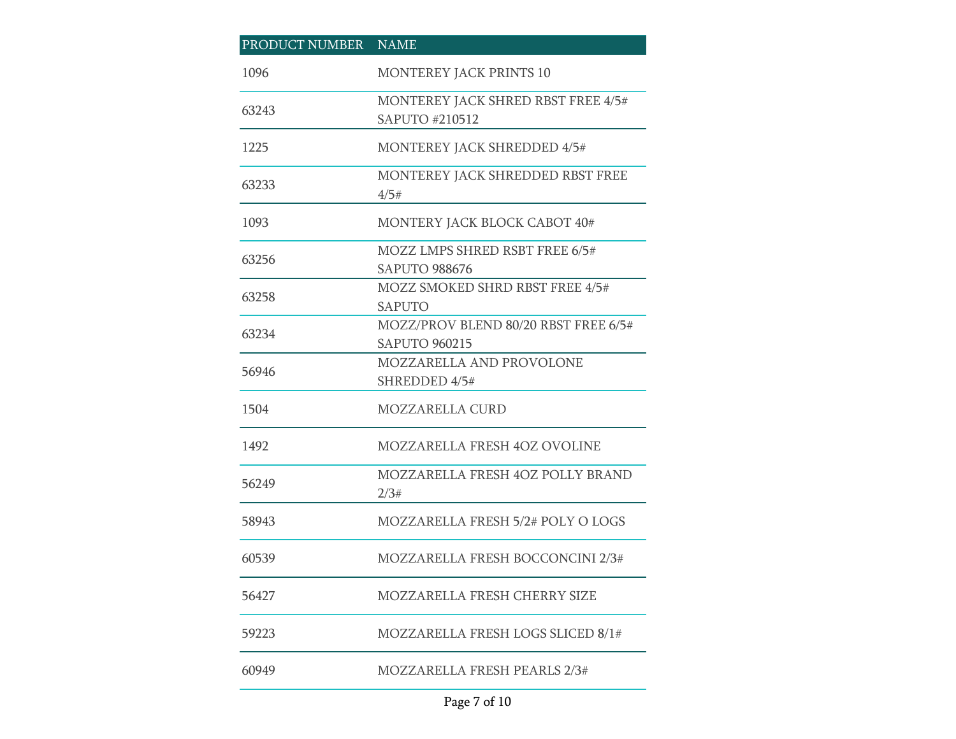| PRODUCT NUMBER | <b>NAME</b>                                                  |
|----------------|--------------------------------------------------------------|
| 1096           | <b>MONTEREY JACK PRINTS 10</b>                               |
| 63243          | MONTEREY JACK SHRED RBST FREE 4/5#<br>SAPUTO #210512         |
| 1225           | <b>MONTEREY JACK SHREDDED 4/5#</b>                           |
| 63233          | MONTEREY JACK SHREDDED RBST FREE<br>4/5#                     |
| 1093           | MONTERY JACK BLOCK CABOT 40#                                 |
| 63256          | MOZZ LMPS SHRED RSBT FREE 6/5#<br><b>SAPUTO 988676</b>       |
| 63258          | MOZZ SMOKED SHRD RBST FREE 4/5#<br><b>SAPUTO</b>             |
| 63234          | MOZZ/PROV BLEND 80/20 RBST FREE 6/5#<br><b>SAPUTO 960215</b> |
| 56946          | MOZZARELLA AND PROVOLONE<br>SHREDDED 4/5#                    |
| 1504           | <b>MOZZARELLA CURD</b>                                       |
| 1492           | <b>MOZZARELLA FRESH 4OZ OVOLINE</b>                          |
| 56249          | MOZZARELLA FRESH 4OZ POLLY BRAND<br>2/3#                     |
| 58943          | MOZZARELLA FRESH 5/2# POLY O LOGS                            |
| 60539          | MOZZARELLA FRESH BOCCONCINI 2/3#                             |
| 56427          | MOZZARELLA FRESH CHERRY SIZE                                 |
| 59223          | MOZZARELLA FRESH LOGS SLICED 8/1#                            |
| 60949          | MOZZARELLA FRESH PEARLS 2/3#                                 |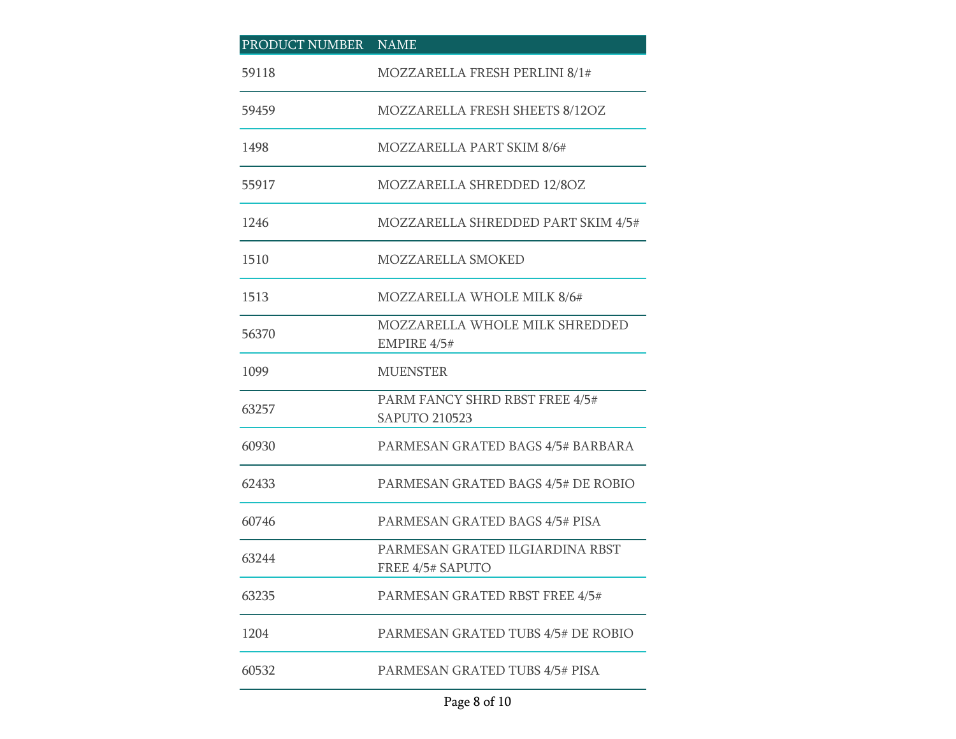| PRODUCT NUMBER | <b>NAME</b>                                                |
|----------------|------------------------------------------------------------|
| 59118          | MOZZARELLA FRESH PERLINI 8/1#                              |
| 59459          | <b>MOZZARELLA FRESH SHEETS 8/12OZ</b>                      |
| 1498           | MOZZARELLA PART SKIM 8/6#                                  |
| 55917          | MOZZARELLA SHREDDED 12/8OZ                                 |
| 1246           | MOZZARELLA SHREDDED PART SKIM 4/5#                         |
| 1510           | MOZZARELLA SMOKED                                          |
| 1513           | <b>MOZZARELLA WHOLE MILK 8/6#</b>                          |
| 56370          | MOZZARELLA WHOLE MILK SHREDDED<br>EMPIRE $4/5#$            |
| 1099           | <b>MUENSTER</b>                                            |
| 63257          | PARM FANCY SHRD RBST FREE 4/5#<br><b>SAPUTO 210523</b>     |
| 60930          | PARMESAN GRATED BAGS 4/5# BARBARA                          |
| 62433          | PARMESAN GRATED BAGS 4/5# DE ROBIO                         |
| 60746          | PARMESAN GRATED BAGS 4/5# PISA                             |
| 63244          | PARMESAN GRATED ILGIARDINA RBST<br><b>FREE 4/5# SAPUTO</b> |
| 63235          | PARMESAN GRATED RBST FREE 4/5#                             |
| 1204           | PARMESAN GRATED TUBS 4/5# DE ROBIO                         |
| 60532          | <b>PARMESAN GRATED TUBS 4/5# PISA</b>                      |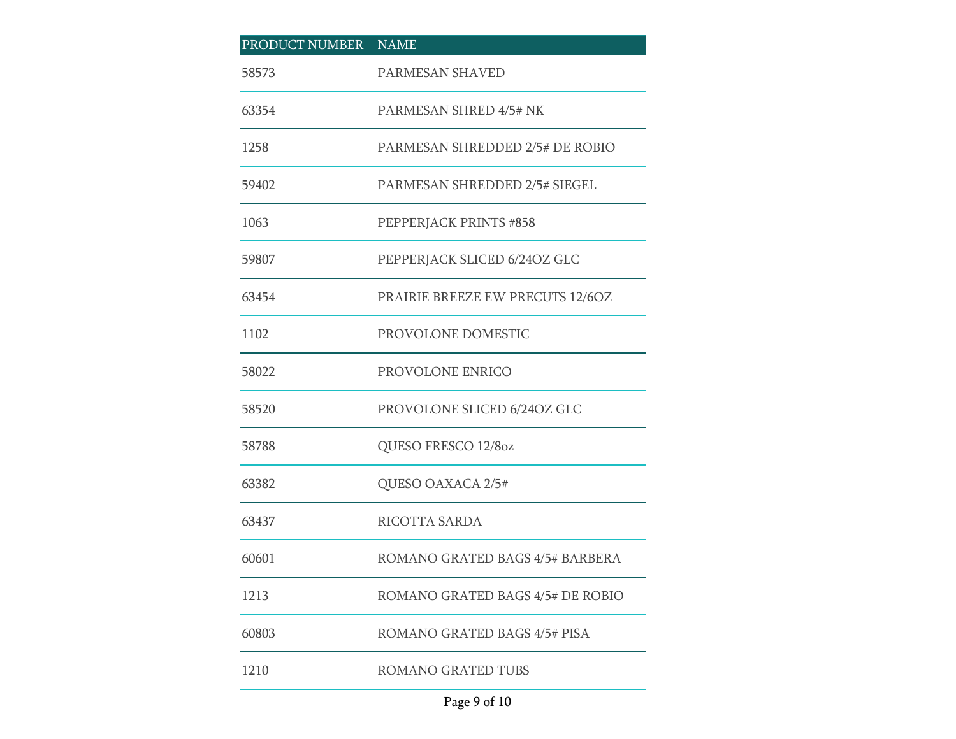| PRODUCT NUMBER NAME |                                  |
|---------------------|----------------------------------|
| 58573               | PARMESAN SHAVED                  |
| 63354               | PARMESAN SHRED 4/5# NK           |
| 1258                | PARMESAN SHREDDED 2/5# DE ROBIO  |
| 59402               | PARMESAN SHREDDED 2/5# SIEGEL    |
| 1063                | PEPPERJACK PRINTS #858           |
| 59807               | PEPPERJACK SLICED 6/24OZ GLC     |
| 63454               | PRAIRIE BREEZE EW PRECUTS 12/6OZ |
| 1102                | PROVOLONE DOMESTIC               |
| 58022               | PROVOLONE ENRICO                 |
| 58520               | PROVOLONE SLICED 6/24OZ GLC      |
| 58788               | QUESO FRESCO 12/8oz              |
| 63382               | QUESO OAXACA 2/5#                |
| 63437               | RICOTTA SARDA                    |
| 60601               | ROMANO GRATED BAGS 4/5# BARBERA  |
| 1213                | ROMANO GRATED BAGS 4/5# DE ROBIO |
| 60803               | ROMANO GRATED BAGS 4/5# PISA     |
| 1210                | ROMANO GRATED TUBS               |